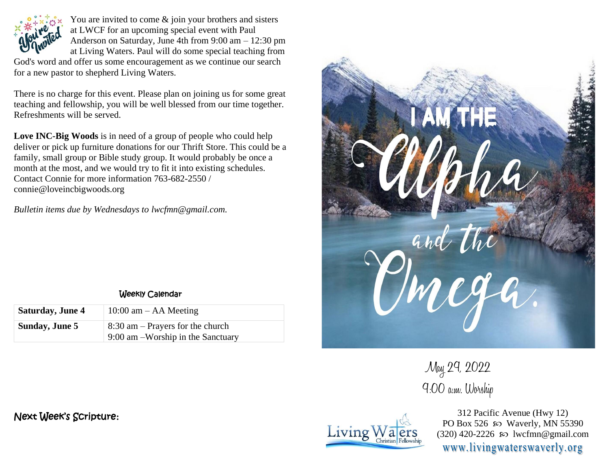

You are invited to come  $\&$  join your brothers and sisters at LWCF for an upcoming special event with Paul Anderson on Saturday, June 4th from 9:00 am – 12:30 pm at Living Waters. Paul will do some special teaching from

God's word and offer us some encouragement as we continue our search for a new pastor to shepherd Living Waters.

There is no charge for this event. Please plan on joining us for some great teaching and fellowship, you will be well blessed from our time together. Refreshments will be served.

**Love INC-Big Woods** is in need of a group of people who could help deliver or pick up furniture donations for our Thrift Store. This could be a family, small group or Bible study group. It would probably be once a month at the most, and we would try to fit it into existing schedules. Contact Connie for more information 763-682-2550 / connie@loveincbigwoods.org

*Bulletin items due by Wednesdays to lwcfmn@gmail.com.*

| Weekly Calendar |
|-----------------|
|                 |

| <b>Saturday, June 4</b> | $10:00$ am $-$ AA Meeting                                                |
|-------------------------|--------------------------------------------------------------------------|
| Sunday, June 5          | $8:30$ am – Prayers for the church<br>9:00 am – Worship in the Sanctuary |



May 29, 2022 9:00 a.m. Worship



312 Pacific Avenue (Hwy 12) PO Box 526  $\wp$  Waverly, MN 55390 (320) 420-2226 so lwcfmn@gmail.com www.livingwaterswaverly.org

Next Week's Scripture**:**